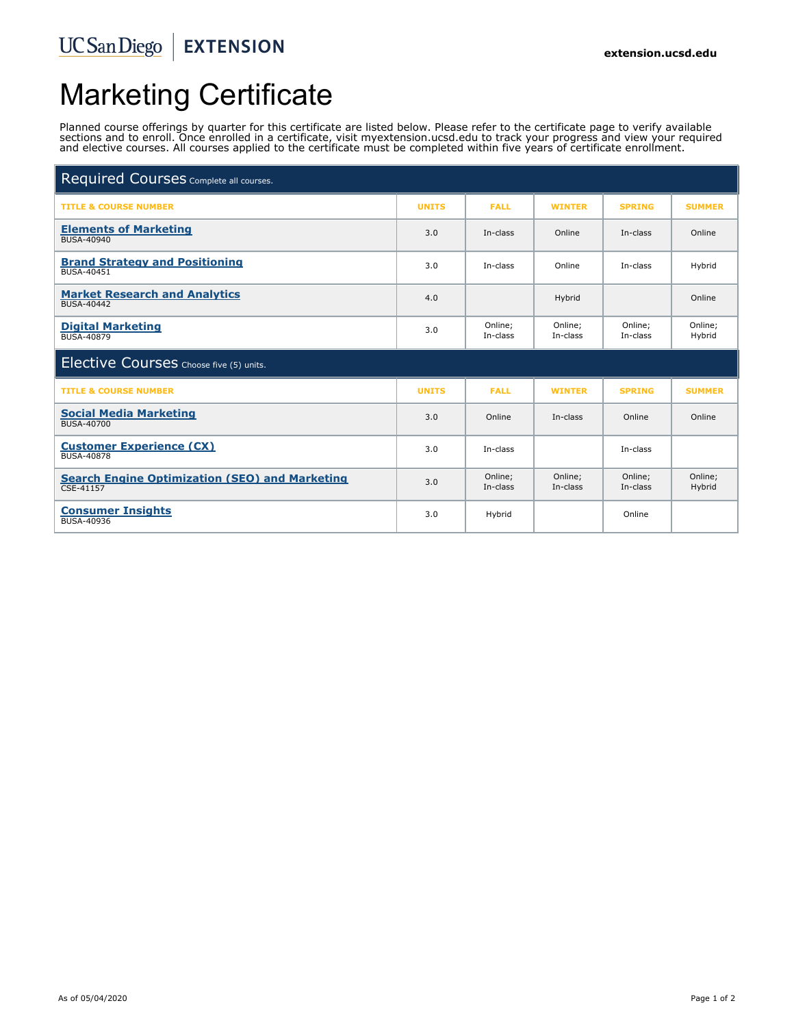#### UCSanDiego | EXTENSION

# Marketing Certificate

Planned course offerings by quarter for this certificate are listed below. Please refer to the certificate page to verify available sections and to enroll. Once enrolled in a certificate, visit myextension.ucsd.edu to track your progress and view your required and elective courses. All courses applied to the certificate must be completed within five years of certificate enrollment.

| Required Courses Complete all courses.                             |              |                     |                     |                     |                   |
|--------------------------------------------------------------------|--------------|---------------------|---------------------|---------------------|-------------------|
| <b>TITLE &amp; COURSE NUMBER</b>                                   | <b>UNITS</b> | <b>FALL</b>         | <b>WINTER</b>       | <b>SPRING</b>       | <b>SUMMER</b>     |
| <b>Elements of Marketing</b><br>BUSA-40940                         | 3.0          | In-class            | Online              | In-class            | Online            |
| <b>Brand Strategy and Positioning</b><br><b>BUSA-40451</b>         | 3.0          | In-class            | Online              | In-class            | Hybrid            |
| <b>Market Research and Analytics</b><br><b>BUSA-40442</b>          | 4.0          |                     | Hybrid              |                     | Online            |
| <b>Digital Marketing</b><br><b>BUSA-40879</b>                      | 3.0          | Online:<br>In-class | Online;<br>In-class | Online:<br>In-class | Online;<br>Hybrid |
| Elective Courses Choose five (5) units.                            |              |                     |                     |                     |                   |
| <b>TITLE &amp; COURSE NUMBER</b>                                   | <b>UNITS</b> | <b>FALL</b>         | <b>WINTER</b>       | <b>SPRING</b>       | <b>SUMMER</b>     |
| <b>Social Media Marketing</b><br>BUSA-40700                        | 3.0          | Online              | In-class            | Online              | Online            |
| <b>Customer Experience (CX)</b><br><b>BUSA-40878</b>               | 3.0          | In-class            |                     | In-class            |                   |
| <b>Search Engine Optimization (SEO) and Marketing</b><br>CSE-41157 | 3.0          | Online;<br>In-class | Online;<br>In-class | Online;<br>In-class | Online;<br>Hybrid |
| <b>Consumer Insights</b><br><b>BUSA-40936</b>                      | 3.0          | Hybrid              |                     | Online              |                   |